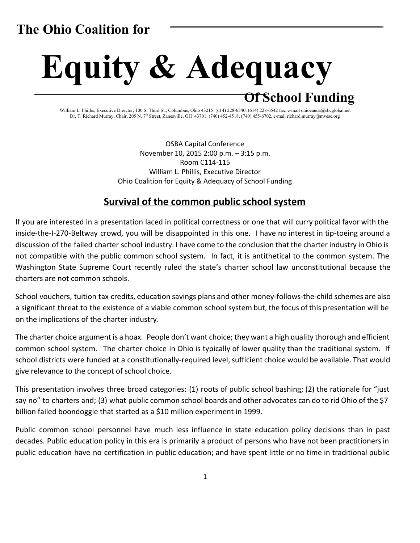# **The Ohio Coalition for**

# **Equity & Adequacy Of School Funding**

William L. Phillis, Executive Director, 100 S. Third St., Columbus, Ohio 43215 (614) 228-6540, (614) 228-6542 fax, e-mail [ohioeanda@sbcglobal.net](mailto:ohioeanda@sbcglobal.net) Dr. T. Richard Murray, Chair, 205 N. 7<sup>th</sup> Street, Zanesville, OH 43701 (740) 452-4518, (740) 455-6702, e-mail richard.murray@mvesc.org

> OSBA Capital Conference November 10, 2015 2:00 p.m. – 3:15 p.m. Room C114-115 William L. Phillis, Executive Director Ohio Coalition for Equity & Adequacy of School Funding

### **Survival of the common public school system**

If you are interested in a presentation laced in political correctness or one that will curry political favor with the inside-the-I-270-Beltway crowd, you will be disappointed in this one. I have no interest in tip-toeing around a discussion of the failed charter school industry. I have come to the conclusion that the charter industry in Ohio is not compatible with the public common school system. In fact, it is antithetical to the common system. The Washington State Supreme Court recently ruled the state's charter school law unconstitutional because the charters are not common schools.

School vouchers, tuition tax credits, education savings plans and other money-follows-the-child schemes are also a significant threat to the existence of a viable common school system but, the focus of this presentation will be on the implications of the charter industry.

The charter choice argument is a hoax. People don't want choice; they want a high quality thorough and efficient common school system. The charter choice in Ohio is typically of lower quality than the traditional system. If school districts were funded at a constitutionally-required level, sufficient choice would be available. That would give relevance to the concept of school choice.

This presentation involves three broad categories: (1) roots of public school bashing; (2) the rationale for "just say no" to charters and; (3) what public common school boards and other advocates can do to rid Ohio of the \$7 billion failed boondoggle that started as a \$10 million experiment in 1999.

Public common school personnel have much less influence in state education policy decisions than in past decades. Public education policy in this era is primarily a product of persons who have not been practitioners in public education have no certification in public education; and have spent little or no time in traditional public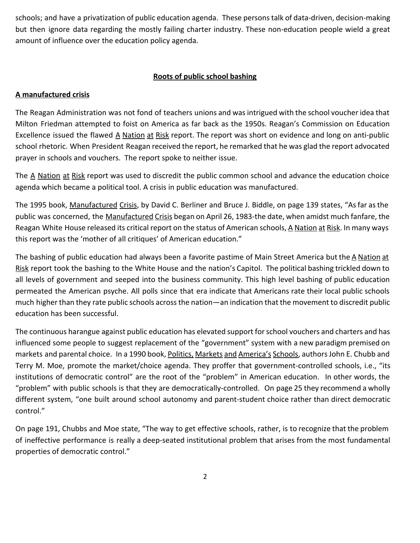schools; and have a privatization of public education agenda. These personstalk of data-driven, decision-making but then ignore data regarding the mostly failing charter industry. These non-education people wield a great amount of influence over the education policy agenda.

#### **Roots of public school bashing**

#### **A manufactured crisis**

The Reagan Administration was not fond of teachers unions and was intrigued with the school voucher idea that Milton Friedman attempted to foist on America as far back as the 1950s. Reagan's Commission on Education Excellence issued the flawed A Nation at Risk report. The report was short on evidence and long on anti-public school rhetoric. When President Reagan received the report, he remarked that he was glad the report advocated prayer in schools and vouchers. The report spoke to neither issue.

The A Nation at Risk report was used to discredit the public common school and advance the education choice agenda which became a political tool. A crisis in public education was manufactured.

The 1995 book, Manufactured Crisis, by David C. Berliner and Bruce J. Biddle, on page 139 states, "As far as the public was concerned, the Manufactured Crisis began on April 26, 1983-the date, when amidst much fanfare, the Reagan White House released its critical report on the status of American schools, A Nation at Risk. In many ways this report was the 'mother of all critiques' of American education."

The bashing of public education had always been a favorite pastime of Main Street America but the A Nation at Risk report took the bashing to the White House and the nation's Capitol. The political bashing trickled down to all levels of government and seeped into the business community. This high level bashing of public education permeated the American psyche. All polls since that era indicate that Americans rate their local public schools much higher than they rate public schools acrossthe nation—an indication that the movement to discredit public education has been successful.

The continuous harangue against public education has elevated support for school vouchers and charters and has influenced some people to suggest replacement of the "government" system with a new paradigm premised on markets and parental choice. In a 1990 book, Politics, Markets and America's Schools, authors John E. Chubb and Terry M. Moe, promote the market/choice agenda. They proffer that government-controlled schools, i.e., "its institutions of democratic control" are the root of the "problem" in American education. In other words, the "problem" with public schools is that they are democratically-controlled. On page 25 they recommend a wholly different system, "one built around school autonomy and parent-student choice rather than direct democratic control."

On page 191, Chubbs and Moe state, "The way to get effective schools, rather, is to recognize that the problem of ineffective performance is really a deep-seated institutional problem that arises from the most fundamental properties of democratic control."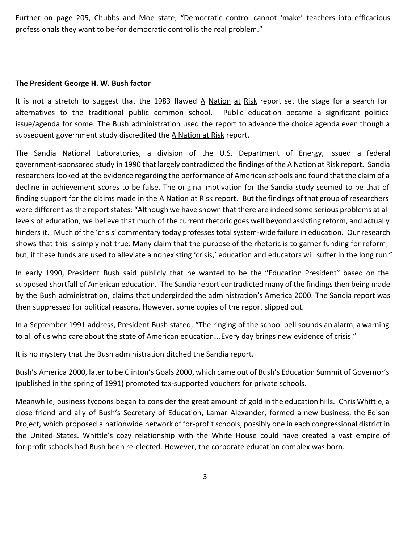Further on page 205, Chubbs and Moe state, "Democratic control cannot 'make' teachers into efficacious professionals they want to be-for democratic control is the real problem."

#### **The President George H. W. Bush factor**

It is not a stretch to suggest that the 1983 flawed A Nation at Risk report set the stage for a search for alternatives to the traditional public common school. Public education became a significant political issue/agenda for some. The Bush administration used the report to advance the choice agenda even though a subsequent government study discredited the A Nation at Risk report.

The Sandia National Laboratories, a division of the U.S. Department of Energy, issued a federal government-sponsored study in 1990 that largely contradicted the findings of the A Nation at Risk report. Sandia researchers looked at the evidence regarding the performance of American schools and found that the claim of a decline in achievement scores to be false. The original motivation for the Sandia study seemed to be that of finding support for the claims made in the A Nation at Risk report. But the findings of that group of researchers were different as the report states: "Although we have shown that there are indeed some serious problems at all levels of education, we believe that much of the current rhetoric goes well beyond assisting reform, and actually hinders it. Much of the 'crisis' commentary today professes total system-wide failure in education. Our research shows that this is simply not true. Many claim that the purpose of the rhetoric is to garner funding for reform; but, if these funds are used to alleviate a nonexisting 'crisis,' education and educators will suffer in the long run."

In early 1990, President Bush said publicly that he wanted to be the "Education President" based on the supposed shortfall of American education. The Sandia report contradicted many of the findings then being made by the Bush administration, claims that undergirded the administration's America 2000. The Sandia report was then suppressed for political reasons. However, some copies of the report slipped out.

In a September 1991 address, President Bush stated, "The ringing of the school bell sounds an alarm, a warning to all of us who care about the state of American education…Every day brings new evidence of crisis."

It is no mystery that the Bush administration ditched the Sandia report.

Bush's America 2000, later to be Clinton's Goals 2000, which came out of Bush's Education Summit of Governor's (published in the spring of 1991) promoted tax-supported vouchers for private schools.

Meanwhile, business tycoons began to consider the great amount of gold in the education hills. Chris Whittle, a close friend and ally of Bush's Secretary of Education, Lamar Alexander, formed a new business, the Edison Project, which proposed a nationwide network of for-profit schools, possibly one in each congressional district in the United States. Whittle's cozy relationship with the White House could have created a vast empire of for-profit schools had Bush been re-elected. However, the corporate education complex was born.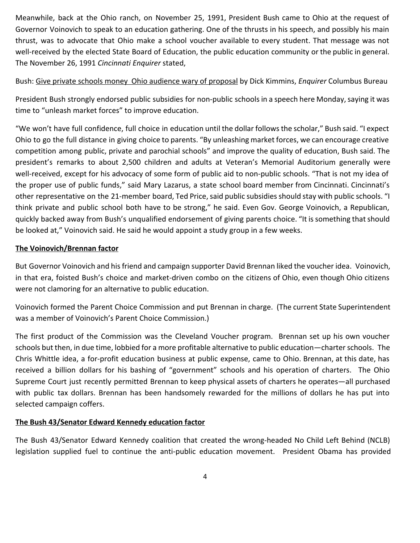Meanwhile, back at the Ohio ranch, on November 25, 1991, President Bush came to Ohio at the request of Governor Voinovich to speak to an education gathering. One of the thrusts in his speech, and possibly his main thrust, was to advocate that Ohio make a school voucher available to every student. That message was not well-received by the elected State Board of Education, the public education community or the public in general. The November 26, 1991 *Cincinnati Enquirer* stated,

Bush: Give private schools money Ohio audience wary of proposal by Dick Kimmins, *Enquirer* Columbus Bureau

President Bush strongly endorsed public subsidies for non-public schools in a speech here Monday, saying it was time to "unleash market forces" to improve education.

"We won't have full confidence, full choice in education until the dollar followsthe scholar," Bush said. "I expect Ohio to go the full distance in giving choice to parents. "By unleashing market forces, we can encourage creative competition among public, private and parochial schools" and improve the quality of education, Bush said. The president's remarks to about 2,500 children and adults at Veteran's Memorial Auditorium generally were well-received, except for his advocacy of some form of public aid to non-public schools. "That is not my idea of the proper use of public funds," said Mary Lazarus, a state school board member from Cincinnati. Cincinnati's other representative on the 21-member board, Ted Price, said public subsidies should stay with public schools. "I think private and public school both have to be strong," he said. Even Gov. George Voinovich, a Republican, quickly backed away from Bush's unqualified endorsement of giving parents choice. "It issomething thatshould be looked at," Voinovich said. He said he would appoint a study group in a few weeks.

#### **The Voinovich/Brennan factor**

But Governor Voinovich and hisfriend and campaign supporter David Brennan liked the voucher idea. Voinovich, in that era, foisted Bush's choice and market-driven combo on the citizens of Ohio, even though Ohio citizens were not clamoring for an alternative to public education.

Voinovich formed the Parent Choice Commission and put Brennan in charge. (The current State Superintendent was a member of Voinovich's Parent Choice Commission.)

The first product of the Commission was the Cleveland Voucher program. Brennan set up his own voucher schools but then, in due time, lobbied for a more profitable alternative to public education—charter schools. The Chris Whittle idea, a for-profit education business at public expense, came to Ohio. Brennan, at this date, has received a billion dollars for his bashing of "government" schools and his operation of charters. The Ohio Supreme Court just recently permitted Brennan to keep physical assets of charters he operates—all purchased with public tax dollars. Brennan has been handsomely rewarded for the millions of dollars he has put into selected campaign coffers.

#### **The Bush 43/Senator Edward Kennedy education factor**

The Bush 43/Senator Edward Kennedy coalition that created the wrong-headed No Child Left Behind (NCLB) legislation supplied fuel to continue the anti-public education movement. President Obama has provided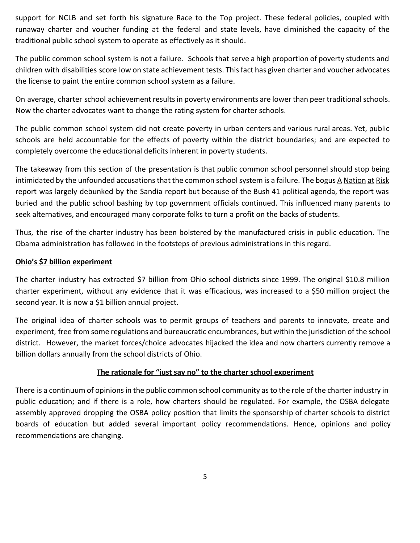support for NCLB and set forth his signature Race to the Top project. These federal policies, coupled with runaway charter and voucher funding at the federal and state levels, have diminished the capacity of the traditional public school system to operate as effectively as it should.

The public common school system is not a failure. Schools that serve a high proportion of poverty students and children with disabilities score low on state achievement tests. Thisfact has given charter and voucher advocates the license to paint the entire common school system as a failure.

On average, charter school achievement results in poverty environments are lower than peer traditional schools. Now the charter advocates want to change the rating system for charter schools.

The public common school system did not create poverty in urban centers and various rural areas. Yet, public schools are held accountable for the effects of poverty within the district boundaries; and are expected to completely overcome the educational deficits inherent in poverty students.

The takeaway from this section of the presentation is that public common school personnel should stop being intimidated by the unfounded accusations that the common school system is a failure. The bogus A Nation at Risk report was largely debunked by the Sandia report but because of the Bush 41 political agenda, the report was buried and the public school bashing by top government officials continued. This influenced many parents to seek alternatives, and encouraged many corporate folks to turn a profit on the backs of students.

Thus, the rise of the charter industry has been bolstered by the manufactured crisis in public education. The Obama administration has followed in the footsteps of previous administrations in this regard.

#### **Ohio's \$7 billion experiment**

The charter industry has extracted \$7 billion from Ohio school districts since 1999. The original \$10.8 million charter experiment, without any evidence that it was efficacious, was increased to a \$50 million project the second year. It is now a \$1 billion annual project.

The original idea of charter schools was to permit groups of teachers and parents to innovate, create and experiment, free from some regulations and bureaucratic encumbrances, but within the jurisdiction of the school district. However, the market forces/choice advocates hijacked the idea and now charters currently remove a billion dollars annually from the school districts of Ohio.

#### **The rationale for "just say no" to the charter school experiment**

There is a continuum of opinions in the public common school community as to the role of the charter industry in public education; and if there is a role, how charters should be regulated. For example, the OSBA delegate assembly approved dropping the OSBA policy position that limits the sponsorship of charter schools to district boards of education but added several important policy recommendations. Hence, opinions and policy recommendations are changing.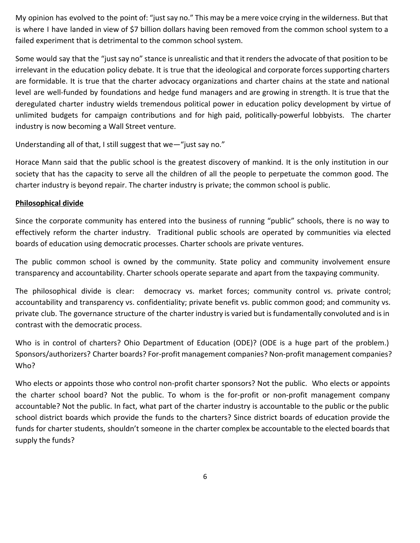My opinion has evolved to the point of: "just say no." This may be a mere voice crying in the wilderness. But that is where I have landed in view of \$7 billion dollars having been removed from the common school system to a failed experiment that is detrimental to the common school system.

Some would say that the "just say no" stance is unrealistic and that it renders the advocate of that position to be irrelevant in the education policy debate. It is true that the ideological and corporate forces supporting charters are formidable. It is true that the charter advocacy organizations and charter chains at the state and national level are well-funded by foundations and hedge fund managers and are growing in strength. It is true that the deregulated charter industry wields tremendous political power in education policy development by virtue of unlimited budgets for campaign contributions and for high paid, politically-powerful lobbyists. The charter industry is now becoming a Wall Street venture.

Understanding all of that, I still suggest that we—"just say no."

Horace Mann said that the public school is the greatest discovery of mankind. It is the only institution in our society that has the capacity to serve all the children of all the people to perpetuate the common good. The charter industry is beyond repair. The charter industry is private; the common school is public.

#### **Philosophical divide**

Since the corporate community has entered into the business of running "public" schools, there is no way to effectively reform the charter industry. Traditional public schools are operated by communities via elected boards of education using democratic processes. Charter schools are private ventures.

The public common school is owned by the community. State policy and community involvement ensure transparency and accountability. Charter schools operate separate and apart from the taxpaying community.

The philosophical divide is clear: democracy vs. market forces; community control vs. private control; accountability and transparency vs. confidentiality; private benefit vs. public common good; and community vs. private club. The governance structure of the charter industry is varied but isfundamentally convoluted and isin contrast with the democratic process.

Who is in control of charters? Ohio Department of Education (ODE)? (ODE is a huge part of the problem.) Sponsors/authorizers? Charter boards? For-profit management companies? Non-profit management companies? Who?

Who elects or appoints those who control non-profit charter sponsors? Not the public. Who elects or appoints the charter school board? Not the public. To whom is the for-profit or non-profit management company accountable? Not the public. In fact, what part of the charter industry is accountable to the public or the public school district boards which provide the funds to the charters? Since district boards of education provide the funds for charter students, shouldn't someone in the charter complex be accountable to the elected boards that supply the funds?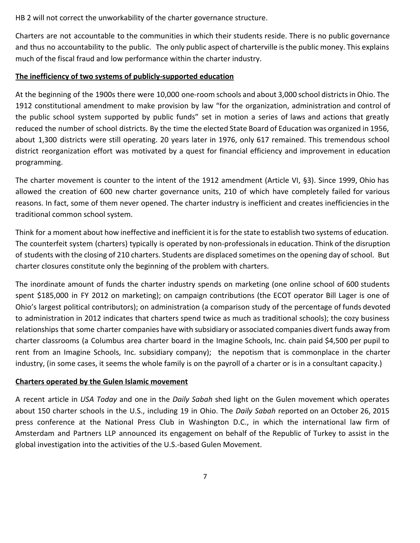HB 2 will not correct the unworkability of the charter governance structure.

Charters are not accountable to the communities in which their students reside. There is no public governance and thus no accountability to the public. The only public aspect of charterville isthe public money. This explains much of the fiscal fraud and low performance within the charter industry.

#### **The inefficiency of two systems of publicly-supported education**

At the beginning of the 1900s there were 10,000 one-room schools and about 3,000 school districtsin Ohio. The 1912 constitutional amendment to make provision by law "for the organization, administration and control of the public school system supported by public funds" set in motion a series of laws and actions that greatly reduced the number of school districts. By the time the elected State Board of Education was organized in 1956, about 1,300 districts were still operating. 20 years later in 1976, only 617 remained. This tremendous school district reorganization effort was motivated by a quest for financial efficiency and improvement in education programming.

The charter movement is counter to the intent of the 1912 amendment (Article VI, §3). Since 1999, Ohio has allowed the creation of 600 new charter governance units, 210 of which have completely failed for various reasons. In fact, some of them never opened. The charter industry is inefficient and creates inefficiencies in the traditional common school system.

Think for a moment about how ineffective and inefficient it is for the state to establish two systems of education. The counterfeit system (charters) typically is operated by non-professionals in education. Think of the disruption of students with the closing of 210 charters. Students are displaced sometimes on the opening day of school. But charter closures constitute only the beginning of the problem with charters.

The inordinate amount of funds the charter industry spends on marketing (one online school of 600 students spent \$185,000 in FY 2012 on marketing); on campaign contributions (the ECOT operator Bill Lager is one of Ohio's largest political contributors); on administration (a comparison study of the percentage of funds devoted to administration in 2012 indicates that charters spend twice as much as traditional schools); the cozy business relationships that some charter companies have with subsidiary or associated companies divert funds away from charter classrooms (a Columbus area charter board in the Imagine Schools, Inc. chain paid \$4,500 per pupil to rent from an Imagine Schools, Inc. subsidiary company); the nepotism that is commonplace in the charter industry, (in some cases, it seems the whole family is on the payroll of a charter or is in a consultant capacity.)

#### **Charters operated by the Gulen Islamic movement**

A recent article in *USA Today* and one in the *Daily Sabah* shed light on the Gulen movement which operates about 150 charter schools in the U.S., including 19 in Ohio. The *Daily Sabah* reported on an October 26, 2015 press conference at the National Press Club in Washington D.C., in which the international law firm of Amsterdam and Partners LLP announced its engagement on behalf of the Republic of Turkey to assist in the global investigation into the activities of the U.S.-based Gulen Movement.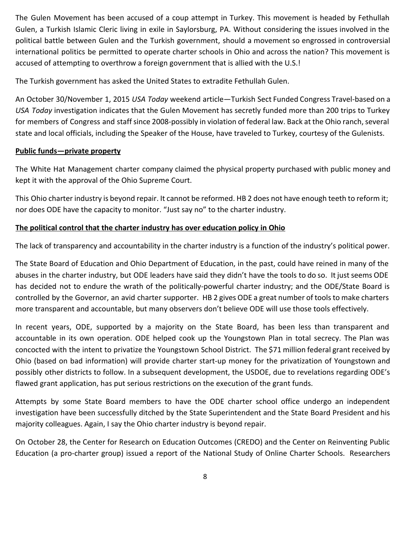The Gulen Movement has been accused of a coup attempt in Turkey. This movement is headed by Fethullah Gulen, a Turkish Islamic Cleric living in exile in Saylorsburg, PA. Without considering the issues involved in the political battle between Gulen and the Turkish government, should a movement so engrossed in controversial international politics be permitted to operate charter schools in Ohio and across the nation? This movement is accused of attempting to overthrow a foreign government that is allied with the U.S.!

The Turkish government has asked the United States to extradite Fethullah Gulen.

An October 30/November 1, 2015 *USA Today* weekend article—Turkish Sect Funded Congress Travel-based on a *USA Today* investigation indicates that the Gulen Movement has secretly funded more than 200 trips to Turkey for members of Congress and staff since 2008-possibly in violation of federal law. Back at the Ohio ranch, several state and local officials, including the Speaker of the House, have traveled to Turkey, courtesy of the Gulenists.

#### **Public funds—private property**

The White Hat Management charter company claimed the physical property purchased with public money and kept it with the approval of the Ohio Supreme Court.

This Ohio charter industry is beyond repair. It cannot be reformed. HB 2 does not have enough teeth to reform it; nor does ODE have the capacity to monitor. "Just say no" to the charter industry.

#### **The political control that the charter industry has over education policy in Ohio**

The lack of transparency and accountability in the charter industry is a function of the industry's political power.

The State Board of Education and Ohio Department of Education, in the past, could have reined in many of the abuses in the charter industry, but ODE leaders have said they didn't have the tools to do so. It just seems ODE has decided not to endure the wrath of the politically-powerful charter industry; and the ODE/State Board is controlled by the Governor, an avid charter supporter. HB 2 gives ODE a great number of toolsto make charters more transparent and accountable, but many observers don't believe ODE will use those tools effectively.

In recent years, ODE, supported by a majority on the State Board, has been less than transparent and accountable in its own operation. ODE helped cook up the Youngstown Plan in total secrecy. The Plan was concocted with the intent to privatize the Youngstown School District. The \$71 million federal grant received by Ohio (based on bad information) will provide charter start-up money for the privatization of Youngstown and possibly other districts to follow. In a subsequent development, the USDOE, due to revelations regarding ODE's flawed grant application, has put serious restrictions on the execution of the grant funds.

Attempts by some State Board members to have the ODE charter school office undergo an independent investigation have been successfully ditched by the State Superintendent and the State Board President and his majority colleagues. Again, I say the Ohio charter industry is beyond repair.

On October 28, the Center for Research on Education Outcomes (CREDO) and the Center on Reinventing Public Education (a pro-charter group) issued a report of the National Study of Online Charter Schools. Researchers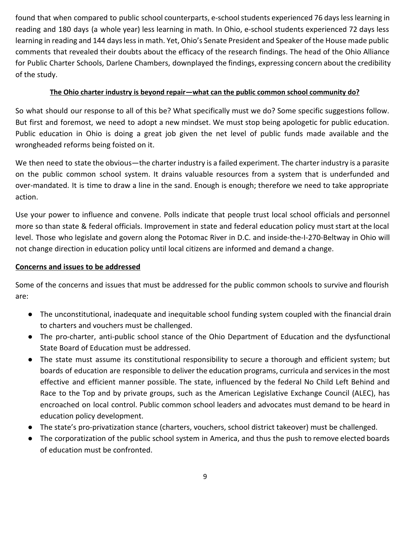found that when compared to public school counterparts, e-school students experienced 76 days less learning in reading and 180 days (a whole year) less learning in math. In Ohio, e-school students experienced 72 days less learning in reading and 144 days less in math. Yet, Ohio's Senate President and Speaker of the House made public comments that revealed their doubts about the efficacy of the research findings. The head of the Ohio Alliance for Public Charter Schools, Darlene Chambers, downplayed the findings, expressing concern about the credibility of the study.

#### **The Ohio charter industry is beyond repair—what can the public common school community do?**

So what should our response to all of this be? What specifically must we do? Some specific suggestions follow. But first and foremost, we need to adopt a new mindset. We must stop being apologetic for public education. Public education in Ohio is doing a great job given the net level of public funds made available and the wrongheaded reforms being foisted on it.

We then need to state the obvious—the charter industry is a failed experiment. The charter industry is a parasite on the public common school system. It drains valuable resources from a system that is underfunded and over-mandated. It is time to draw a line in the sand. Enough is enough; therefore we need to take appropriate action.

Use your power to influence and convene. Polls indicate that people trust local school officials and personnel more so than state & federal officials. Improvement in state and federal education policy must start at the local level. Those who legislate and govern along the Potomac River in D.C. and inside-the-I-270-Beltway in Ohio will not change direction in education policy until local citizens are informed and demand a change.

#### **Concerns and issues to be addressed**

Some of the concerns and issues that must be addressed for the public common schools to survive and flourish are:

- The unconstitutional, inadequate and inequitable school funding system coupled with the financial drain to charters and vouchers must be challenged.
- The pro-charter, anti-public school stance of the Ohio Department of Education and the dysfunctional State Board of Education must be addressed.
- The state must assume its constitutional responsibility to secure a thorough and efficient system; but boards of education are responsible to deliver the education programs, curricula and services in the most effective and efficient manner possible. The state, influenced by the federal No Child Left Behind and Race to the Top and by private groups, such as the American Legislative Exchange Council (ALEC), has encroached on local control. Public common school leaders and advocates must demand to be heard in education policy development.
- The state's pro-privatization stance (charters, vouchers, school district takeover) must be challenged.
- The corporatization of the public school system in America, and thus the push to remove elected boards of education must be confronted.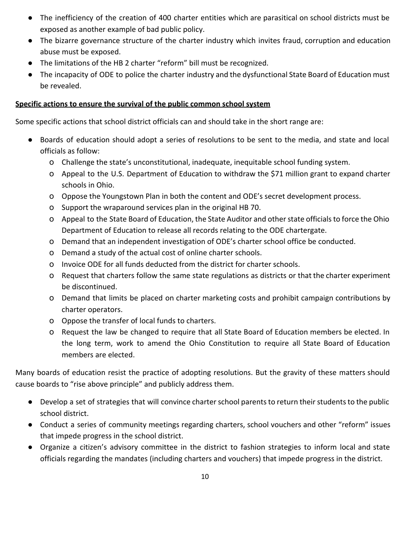- The inefficiency of the creation of 400 charter entities which are parasitical on school districts must be exposed as another example of bad public policy.
- The bizarre governance structure of the charter industry which invites fraud, corruption and education abuse must be exposed.
- The limitations of the HB 2 charter "reform" bill must be recognized.
- The incapacity of ODE to police the charter industry and the dysfunctional State Board of Education must be revealed.

#### **Specific actions to ensure the survival of the public common school system**

Some specific actions that school district officials can and should take in the short range are:

- Boards of education should adopt a series of resolutions to be sent to the media, and state and local officials as follow:
	- o Challenge the state's unconstitutional, inadequate, inequitable school funding system.
	- o Appeal to the U.S. Department of Education to withdraw the \$71 million grant to expand charter schools in Ohio.
	- o Oppose the Youngstown Plan in both the content and ODE's secret development process.
	- o Support the wraparound services plan in the original HB 70.
	- o Appeal to the State Board of Education, the State Auditor and otherstate officialsto force the Ohio Department of Education to release all records relating to the ODE chartergate.
	- o Demand that an independent investigation of ODE's charter school office be conducted.
	- o Demand a study of the actual cost of online charter schools.
	- o Invoice ODE for all funds deducted from the district for charter schools.
	- o Request that charters follow the same state regulations as districts or that the charter experiment be discontinued.
	- o Demand that limits be placed on charter marketing costs and prohibit campaign contributions by charter operators.
	- o Oppose the transfer of local funds to charters.
	- o Request the law be changed to require that all State Board of Education members be elected. In the long term, work to amend the Ohio Constitution to require all State Board of Education members are elected.

Many boards of education resist the practice of adopting resolutions. But the gravity of these matters should cause boards to "rise above principle" and publicly address them.

- Develop a set of strategies that will convince charter school parents to return their students to the public school district.
- Conduct a series of community meetings regarding charters, school vouchers and other "reform" issues that impede progress in the school district.
- Organize a citizen's advisory committee in the district to fashion strategies to inform local and state officials regarding the mandates (including charters and vouchers) that impede progress in the district.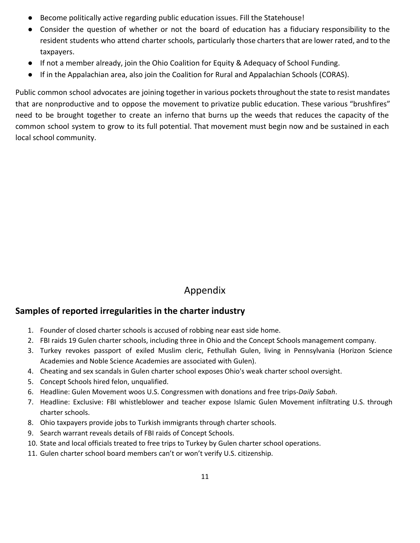- Become politically active regarding public education issues. Fill the Statehouse!
- Consider the question of whether or not the board of education has a fiduciary responsibility to the resident students who attend charter schools, particularly those charters that are lower rated, and to the taxpayers.
- If not a member already, join the Ohio Coalition for Equity & Adequacy of School Funding.
- If in the Appalachian area, also join the Coalition for Rural and Appalachian Schools (CORAS).

Public common school advocates are joining together in various pockets throughout the state to resist mandates that are nonproductive and to oppose the movement to privatize public education. These various "brushfires" need to be brought together to create an inferno that burns up the weeds that reduces the capacity of the common school system to grow to its full potential. That movement must begin now and be sustained in each local school community.

## Appendix

#### **Samples of reported irregularities in the charter industry**

- 1. Founder of closed charter schools is accused of robbing near east side home.
- 2. FBI raids 19 Gulen charter schools, including three in Ohio and the Concept Schools management company.
- 3. Turkey revokes passport of exiled Muslim cleric, Fethullah Gulen, living in Pennsylvania (Horizon Science Academies and Noble Science Academies are associated with Gulen).
- 4. Cheating and sex scandals in Gulen charter school exposes Ohio's weak charter school oversight.
- 5. Concept Schools hired felon, unqualified.
- 6. Headline: Gulen Movement woos U.S. Congressmen with donations and free trips*-Daily Sabah*.
- 7. Headline: Exclusive: FBI whistleblower and teacher expose Islamic Gulen Movement infiltrating U.S. through charter schools.
- 8. Ohio taxpayers provide jobs to Turkish immigrants through charter schools.
- 9. Search warrant reveals details of FBI raids of Concept Schools.
- 10. State and local officials treated to free trips to Turkey by Gulen charter school operations.
- 11. Gulen charter school board members can't or won't verify U.S. citizenship.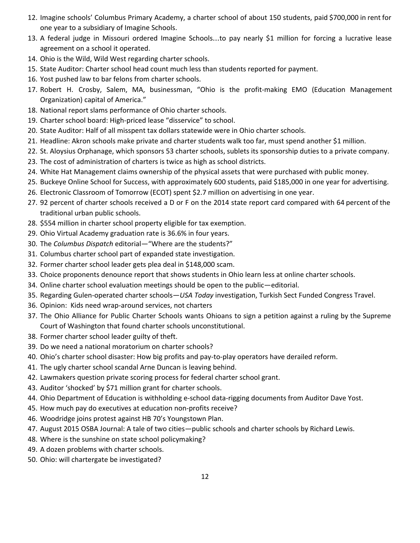- 12. Imagine schools' Columbus Primary Academy, a charter school of about 150 students, paid \$700,000 in rent for one year to a subsidiary of Imagine Schools.
- 13. A federal judge in Missouri ordered Imagine Schools…to pay nearly \$1 million for forcing a lucrative lease agreement on a school it operated.
- 14. Ohio is the Wild, Wild West regarding charter schools.
- 15. State Auditor: Charter school head count much less than students reported for payment.
- 16. Yost pushed law to bar felons from charter schools.
- 17. Robert H. Crosby, Salem, MA, businessman, "Ohio is the profit-making EMO (Education Management Organization) capital of America."
- 18. National report slams performance of Ohio charter schools.
- 19. Charter school board: High-priced lease "disservice" to school.
- 20. State Auditor: Half of all misspent tax dollars statewide were in Ohio charter schools.
- 21. Headline: Akron schools make private and charter students walk too far, must spend another \$1 million.
- 22. St. Aloysius Orphanage, which sponsors 53 charter schools, sublets its sponsorship duties to a private company.
- 23. The cost of administration of charters is twice as high as school districts.
- 24. White Hat Management claims ownership of the physical assets that were purchased with public money.
- 25. Buckeye Online School for Success, with approximately 600 students, paid \$185,000 in one year for advertising.
- 26. Electronic Classroom of Tomorrow (ECOT) spent \$2.7 million on advertising in one year.
- 27. 92 percent of charter schools received a D or F on the 2014 state report card compared with 64 percent of the traditional urban public schools.
- 28. \$554 million in charter school property eligible for tax exemption.
- 29. Ohio Virtual Academy graduation rate is 36.6% in four years.
- 30. The *Columbus Dispatch* editorial—"Where are the students?"
- 31. Columbus charter school part of expanded state investigation.
- 32. Former charter school leader gets plea deal in \$148,000 scam.
- 33. Choice proponents denounce report that shows students in Ohio learn less at online charter schools.
- 34. Online charter school evaluation meetings should be open to the public—editorial.
- 35. Regarding Gulen-operated charter schools—*USA Today* investigation, Turkish Sect Funded Congress Travel.
- 36. Opinion: Kids need wrap-around services, not charters
- 37. The Ohio Alliance for Public Charter Schools wants Ohioans to sign a petition against a ruling by the Supreme Court of Washington that found charter schools unconstitutional.
- 38. Former charter school leader guilty of theft.
- 39. Do we need a national moratorium on charter schools?
- 40. Ohio's charter school disaster: How big profits and pay-to-play operators have derailed reform.
- 41. The ugly charter school scandal Arne Duncan is leaving behind.
- 42. Lawmakers question private scoring process for federal charter school grant.
- 43. Auditor 'shocked' by \$71 million grant for charter schools.
- 44. Ohio Department of Education is withholding e-school data-rigging documents from Auditor Dave Yost.
- 45. How much pay do executives at education non-profits receive?
- 46. Woodridge joins protest against HB 70's Youngstown Plan.
- 47. August 2015 OSBA Journal: A tale of two cities—public schools and charter schools by Richard Lewis.
- 48. Where is the sunshine on state school policymaking?
- 49. A dozen problems with charter schools.
- 50. Ohio: will chartergate be investigated?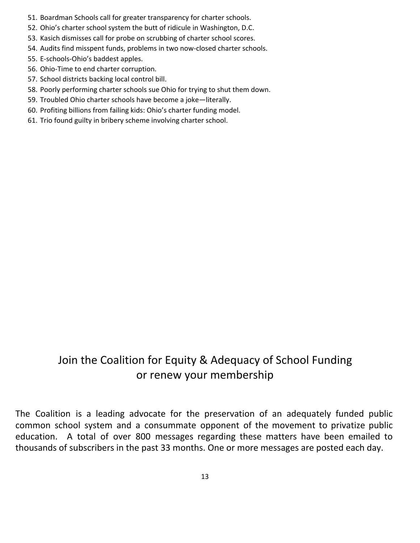- 51. Boardman Schools call for greater transparency for charter schools.
- 52. Ohio's charter school system the butt of ridicule in Washington, D.C.
- 53. Kasich dismisses call for probe on scrubbing of charter school scores.
- 54. Audits find misspent funds, problems in two now-closed charter schools.
- 55. E-schools-Ohio's baddest apples.
- 56. Ohio-Time to end charter corruption.
- 57. School districts backing local control bill.
- 58. Poorly performing charter schools sue Ohio for trying to shut them down.
- 59. Troubled Ohio charter schools have become a joke—literally.
- 60. Profiting billions from failing kids: Ohio's charter funding model.
- 61. Trio found guilty in bribery scheme involving charter school.

# Join the Coalition for Equity & Adequacy of School Funding or renew your membership

The Coalition is a leading advocate for the preservation of an adequately funded public common school system and a consummate opponent of the movement to privatize public education. A total of over 800 messages regarding these matters have been emailed to thousands of subscribers in the past 33 months. One or more messages are posted each day.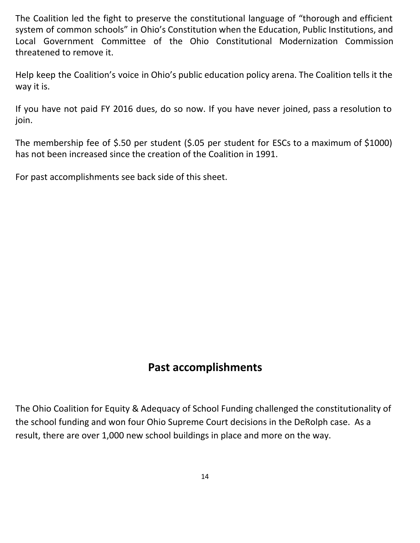The Coalition led the fight to preserve the constitutional language of "thorough and efficient system of common schools" in Ohio's Constitution when the Education, Public Institutions, and Local Government Committee of the Ohio Constitutional Modernization Commission threatened to remove it.

Help keep the Coalition's voice in Ohio's public education policy arena. The Coalition tells it the way it is.

If you have not paid FY 2016 dues, do so now. If you have never joined, pass a resolution to join.

The membership fee of \$.50 per student (\$.05 per student for ESCs to a maximum of \$1000) has not been increased since the creation of the Coalition in 1991.

For past accomplishments see back side of this sheet.

## **Past accomplishments**

The Ohio Coalition for Equity & Adequacy of School Funding challenged the constitutionality of the school funding and won four Ohio Supreme Court decisions in the DeRolph case. As a result, there are over 1,000 new school buildings in place and more on the way.